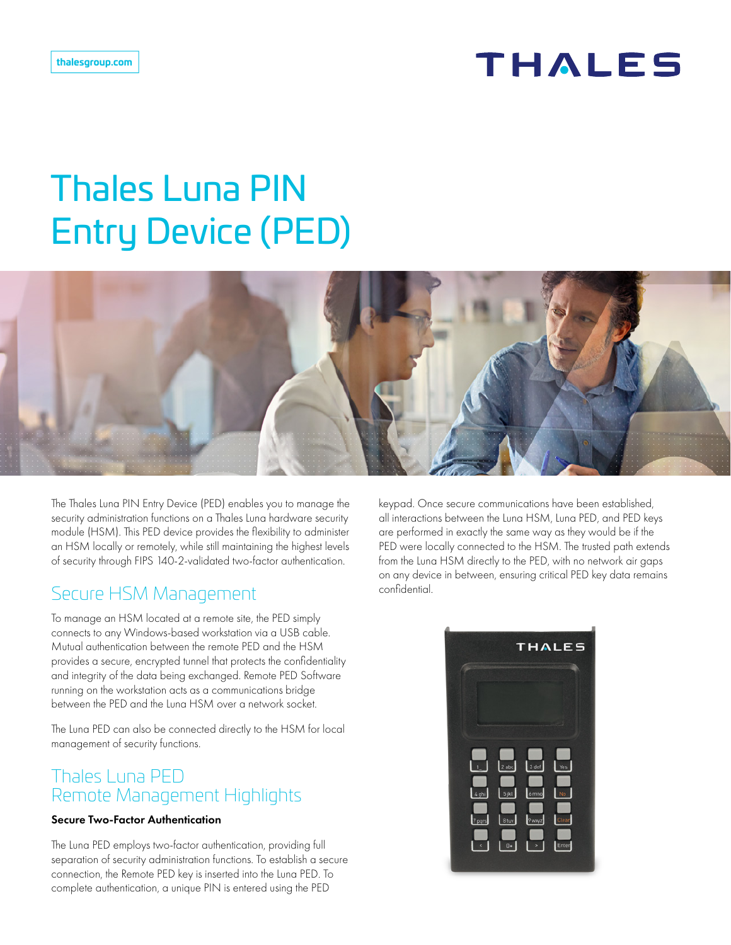## **THALES**

# Thales Luna PIN Entry Device (PED)



The Thales Luna PIN Entry Device (PED) enables you to manage the security administration functions on a Thales Luna hardware security module (HSM). This PED device provides the flexibility to administer an HSM locally or remotely, while still maintaining the highest levels of security through FIPS 140-2-validated two-factor authentication.

### Secure HSM Management

To manage an HSM located at a remote site, the PED simply connects to any Windows-based workstation via a USB cable. Mutual authentication between the remote PED and the HSM provides a secure, encrypted tunnel that protects the confidentiality and integrity of the data being exchanged. Remote PED Software running on the workstation acts as a communications bridge between the PED and the Luna HSM over a network socket.

The Luna PED can also be connected directly to the HSM for local management of security functions.

### Thales Luna PED Remote Management Highlights

#### Secure Two-Factor Authentication

The Luna PED employs two-factor authentication, providing full separation of security administration functions. To establish a secure connection, the Remote PED key is inserted into the Luna PED. To complete authentication, a unique PIN is entered using the PED

keypad. Once secure communications have been established, all interactions between the Luna HSM, Luna PED, and PED keys are performed in exactly the same way as they would be if the PED were locally connected to the HSM. The trusted path extends from the Luna HSM directly to the PED, with no network air gaps on any device in between, ensuring critical PED key data remains confidential.